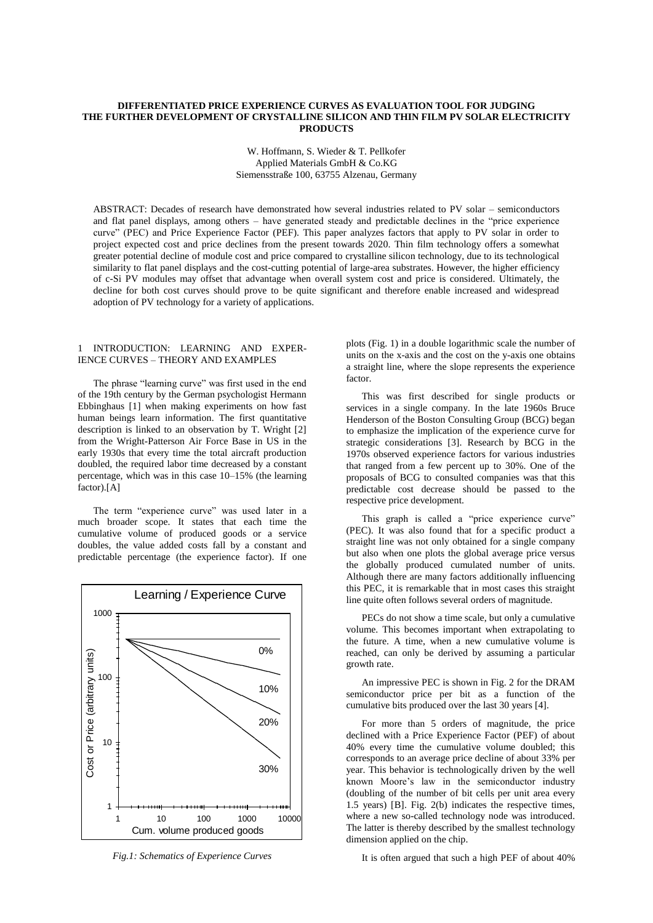### **DIFFERENTIATED PRICE EXPERIENCE CURVES AS EVALUATION TOOL FOR JUDGING THE FURTHER DEVELOPMENT OF CRYSTALLINE SILICON AND THIN FILM PV SOLAR ELECTRICITY PRODUCTS**

W. Hoffmann, S. Wieder & T. Pellkofer Applied Materials GmbH & Co.KG Siemensstraße 100, 63755 Alzenau, Germany

ABSTRACT: Decades of research have demonstrated how several industries related to PV solar – semiconductors and flat panel displays, among others – have generated steady and predictable declines in the "price experience curve" (PEC) and Price Experience Factor (PEF). This paper analyzes factors that apply to PV solar in order to project expected cost and price declines from the present towards 2020. Thin film technology offers a somewhat greater potential decline of module cost and price compared to crystalline silicon technology, due to its technological similarity to flat panel displays and the cost-cutting potential of large-area substrates. However, the higher efficiency of c-Si PV modules may offset that advantage when overall system cost and price is considered. Ultimately, the decline for both cost curves should prove to be quite significant and therefore enable increased and widespread adoption of PV technology for a variety of applications.

#### 1 INTRODUCTION: LEARNING AND EXPER-IENCE CURVES – THEORY AND EXAMPLES

The phrase "learning curve" was first used in the end of the 19th century by the German psychologist Hermann Ebbinghaus [1] when making experiments on how fast human beings learn information. The first quantitative description is linked to an observation by T. Wright [2] from the Wright-Patterson Air Force Base in US in the early 1930s that every time the total aircraft production doubled, the required labor time decreased by a constant percentage, which was in this case 10–15% (the learning factor).[A]

The term "experience curve" was used later in a much broader scope. It states that each time the cumulative volume of produced goods or a service doubles, the value added costs fall by a constant and predictable percentage (the experience factor). If one



*Fig.1: Schematics of Experience Curves*

plots (Fig. 1) in a double logarithmic scale the number of units on the x-axis and the cost on the y-axis one obtains a straight line, where the slope represents the experience factor.

This was first described for single products or services in a single company. In the late 1960s Bruce Henderson of the Boston Consulting Group (BCG) began to emphasize the implication of the experience curve for strategic considerations [3]. Research by BCG in the 1970s observed experience factors for various industries that ranged from a few percent up to 30%. One of the proposals of BCG to consulted companies was that this predictable cost decrease should be passed to the respective price development.

This graph is called a "price experience curve" (PEC). It was also found that for a specific product a straight line was not only obtained for a single company but also when one plots the global average price versus the globally produced cumulated number of units. Although there are many factors additionally influencing this PEC, it is remarkable that in most cases this straight line quite often follows several orders of magnitude.

PECs do not show a time scale, but only a cumulative volume. This becomes important when extrapolating to the future. A time, when a new cumulative volume is reached, can only be derived by assuming a particular growth rate.

An impressive PEC is shown in Fig. 2 for the DRAM semiconductor price per bit as a function of the cumulative bits produced over the last 30 years [4].

For more than 5 orders of magnitude, the price declined with a Price Experience Factor (PEF) of about 40% every time the cumulative volume doubled; this corresponds to an average price decline of about 33% per year. This behavior is technologically driven by the well known Moore's law in the semiconductor industry (doubling of the number of bit cells per unit area every 1.5 years) [B]. Fig. 2(b) indicates the respective times, where a new so-called technology node was introduced. The latter is thereby described by the smallest technology dimension applied on the chip.

It is often argued that such a high PEF of about 40%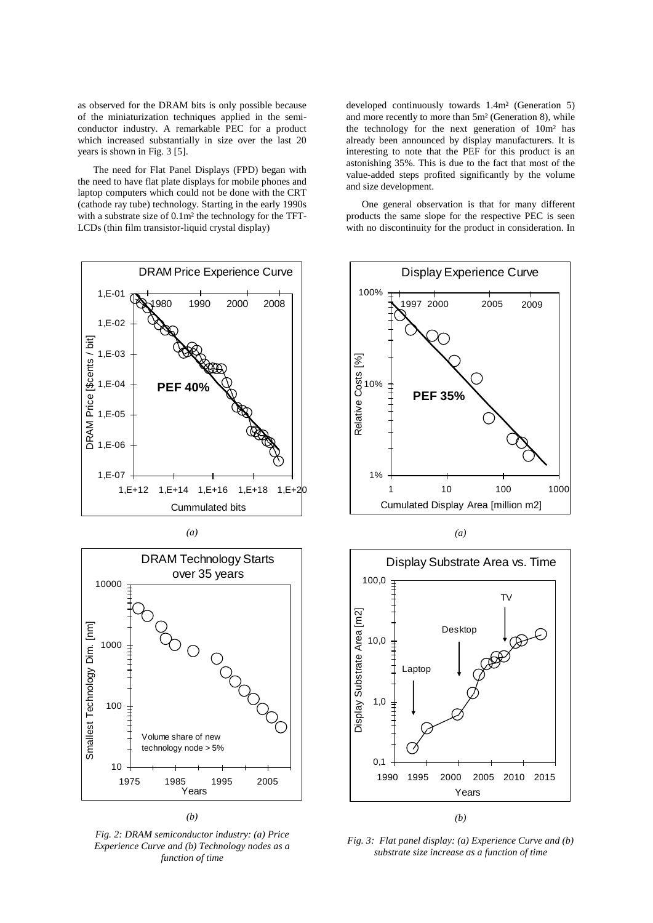as observed for the DRAM bits is only possible because of the miniaturization techniques applied in the semiconductor industry. A remarkable PEC for a product which increased substantially in size over the last 20 years is shown in Fig. 3 [5].

The need for Flat Panel Displays (FPD) began with the need to have flat plate displays for mobile phones and laptop computers which could not be done with the CRT (cathode ray tube) technology. Starting in the early 1990s with a substrate size of 0.1m² the technology for the TFT-LCDs (thin film transistor-liquid crystal display)





*(b)*

*Fig. 2: DRAM semiconductor industry: (a) Price Experience Curve and (b) Technology nodes as a function of time*

developed continuously towards 1.4m² (Generation 5) and more recently to more than 5m² (Generation 8), while the technology for the next generation of 10m² has already been announced by display manufacturers. It is interesting to note that the PEF for this product is an astonishing 35%. This is due to the fact that most of the value-added steps profited significantly by the volume and size development.

One general observation is that for many different products the same slope for the respective PEC is seen with no discontinuity for the product in consideration. In



*(a)*



*Fig. 3: Flat panel display: (a) Experience Curve and (b) substrate size increase as a function of time*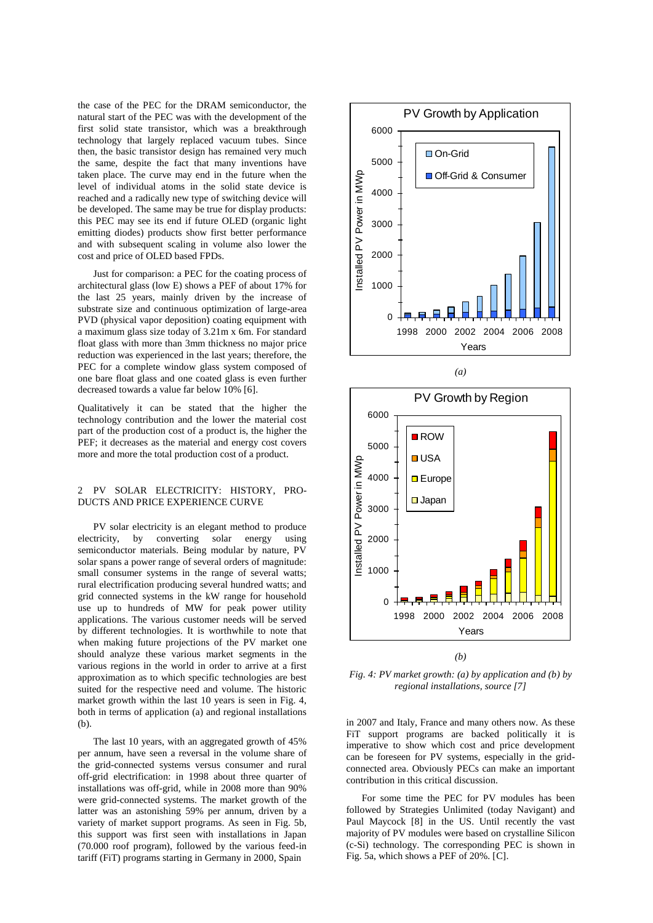the case of the PEC for the DRAM semiconductor, the natural start of the PEC was with the development of the first solid state transistor, which was a breakthrough technology that largely replaced vacuum tubes. Since then, the basic transistor design has remained very much the same, despite the fact that many inventions have taken place. The curve may end in the future when the level of individual atoms in the solid state device is reached and a radically new type of switching device will be developed. The same may be true for display products: this PEC may see its end if future OLED (organic light emitting diodes) products show first better performance and with subsequent scaling in volume also lower the cost and price of OLED based FPDs.

Just for comparison: a PEC for the coating process of architectural glass (low E) shows a PEF of about 17% for the last 25 years, mainly driven by the increase of substrate size and continuous optimization of large-area PVD (physical vapor deposition) coating equipment with a maximum glass size today of 3.21m x 6m. For standard float glass with more than 3mm thickness no major price reduction was experienced in the last years; therefore, the PEC for a complete window glass system composed of one bare float glass and one coated glass is even further decreased towards a value far below 10% [6].

Qualitatively it can be stated that the higher the technology contribution and the lower the material cost part of the production cost of a product is, the higher the PEF; it decreases as the material and energy cost covers more and more the total production cost of a product.

# 2 PV SOLAR ELECTRICITY: HISTORY, PRO-DUCTS AND PRICE EXPERIENCE CURVE

PV solar electricity is an elegant method to produce electricity, by converting solar energy using semiconductor materials. Being modular by nature, PV solar spans a power range of several orders of magnitude: small consumer systems in the range of several watts; rural electrification producing several hundred watts; and grid connected systems in the kW range for household use up to hundreds of MW for peak power utility applications. The various customer needs will be served by different technologies. It is worthwhile to note that when making future projections of the PV market one should analyze these various market segments in the various regions in the world in order to arrive at a first approximation as to which specific technologies are best suited for the respective need and volume. The historic market growth within the last 10 years is seen in Fig. 4, both in terms of application (a) and regional installations (b).

The last 10 years, with an aggregated growth of 45% per annum, have seen a reversal in the volume share of the grid-connected systems versus consumer and rural off-grid electrification: in 1998 about three quarter of installations was off-grid, while in 2008 more than 90% were grid-connected systems. The market growth of the latter was an astonishing 59% per annum, driven by a variety of market support programs. As seen in Fig. 5b, this support was first seen with installations in Japan (70.000 roof program), followed by the various feed-in tariff (FiT) programs starting in Germany in 2000, Spain







*(b)*

*Fig. 4: PV market growth: (a) by application and (b) by regional installations, source [7]*

in 2007 and Italy, France and many others now. As these FiT support programs are backed politically it is imperative to show which cost and price development can be foreseen for PV systems, especially in the gridconnected area. Obviously PECs can make an important contribution in this critical discussion.

For some time the PEC for PV modules has been followed by Strategies Unlimited (today Navigant) and Paul Maycock [8] in the US. Until recently the vast majority of PV modules were based on crystalline Silicon (c-Si) technology. The corresponding PEC is shown in Fig. 5a, which shows a PEF of 20%. [C].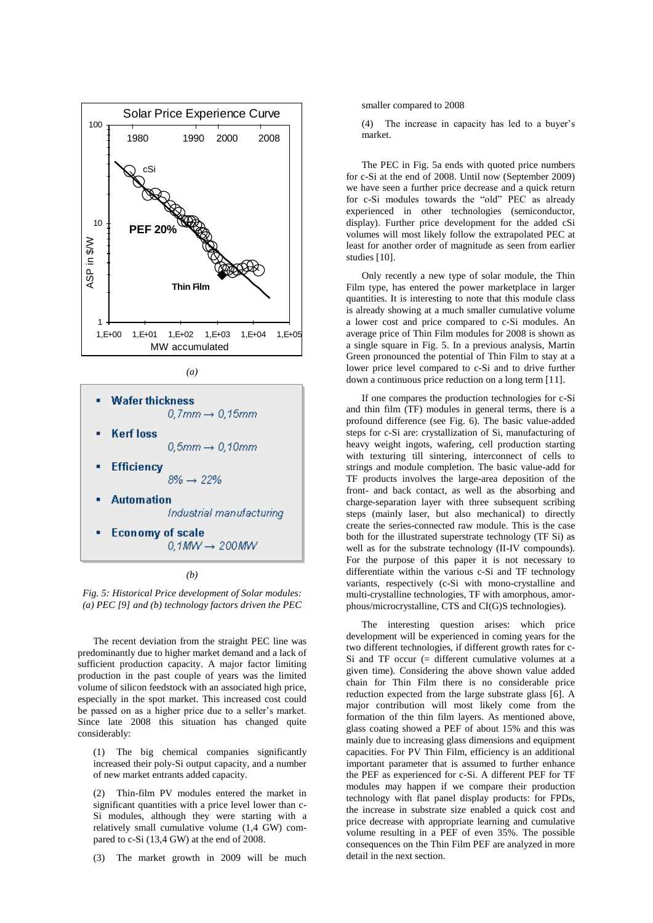

*(a)*



*(b)*

*Fig. 5: Historical Price development of Solar modules: (a) PEC [9] and (b) technology factors driven the PEC*

The recent deviation from the straight PEC line was predominantly due to higher market demand and a lack of sufficient production capacity. A major factor limiting production in the past couple of years was the limited volume of silicon feedstock with an associated high price, especially in the spot market. This increased cost could be passed on as a higher price due to a seller's market. Since late 2008 this situation has changed quite considerably:

(1) The big chemical companies significantly increased their poly-Si output capacity, and a number of new market entrants added capacity.

(2) Thin-film PV modules entered the market in significant quantities with a price level lower than c-Si modules, although they were starting with a relatively small cumulative volume (1,4 GW) compared to c-Si (13,4 GW) at the end of 2008.

(3) The market growth in 2009 will be much

smaller compared to 2008

(4) The increase in capacity has led to a buyer's market.

The PEC in Fig. 5a ends with quoted price numbers for c-Si at the end of 2008. Until now (September 2009) we have seen a further price decrease and a quick return for c-Si modules towards the "old" PEC as already experienced in other technologies (semiconductor, display). Further price development for the added cSi volumes will most likely follow the extrapolated PEC at least for another order of magnitude as seen from earlier studies [10].

Only recently a new type of solar module, the Thin Film type, has entered the power marketplace in larger quantities. It is interesting to note that this module class is already showing at a much smaller cumulative volume a lower cost and price compared to c-Si modules. An average price of Thin Film modules for 2008 is shown as a single square in Fig. 5. In a previous analysis, Martin Green pronounced the potential of Thin Film to stay at a lower price level compared to c-Si and to drive further down a continuous price reduction on a long term [11].

If one compares the production technologies for c-Si and thin film (TF) modules in general terms, there is a profound difference (see Fig. 6). The basic value-added steps for c-Si are: crystallization of Si, manufacturing of heavy weight ingots, wafering, cell production starting with texturing till sintering, interconnect of cells to strings and module completion. The basic value-add for TF products involves the large-area deposition of the front- and back contact, as well as the absorbing and charge-separation layer with three subsequent scribing steps (mainly laser, but also mechanical) to directly create the series-connected raw module. This is the case both for the illustrated superstrate technology (TF Si) as well as for the substrate technology (II-IV compounds). For the purpose of this paper it is not necessary to differentiate within the various c-Si and TF technology variants, respectively (c-Si with mono-crystalline and multi-crystalline technologies, TF with amorphous, amorphous/microcrystalline, CTS and CI(G)S technologies).

The interesting question arises: which price development will be experienced in coming years for the two different technologies, if different growth rates for c-Si and TF occur (= different cumulative volumes at a given time). Considering the above shown value added chain for Thin Film there is no considerable price reduction expected from the large substrate glass [6]. A major contribution will most likely come from the formation of the thin film layers. As mentioned above, glass coating showed a PEF of about 15% and this was mainly due to increasing glass dimensions and equipment capacities. For PV Thin Film, efficiency is an additional important parameter that is assumed to further enhance the PEF as experienced for c-Si. A different PEF for TF modules may happen if we compare their production technology with flat panel display products: for FPDs, the increase in substrate size enabled a quick cost and price decrease with appropriate learning and cumulative volume resulting in a PEF of even 35%. The possible consequences on the Thin Film PEF are analyzed in more detail in the next section.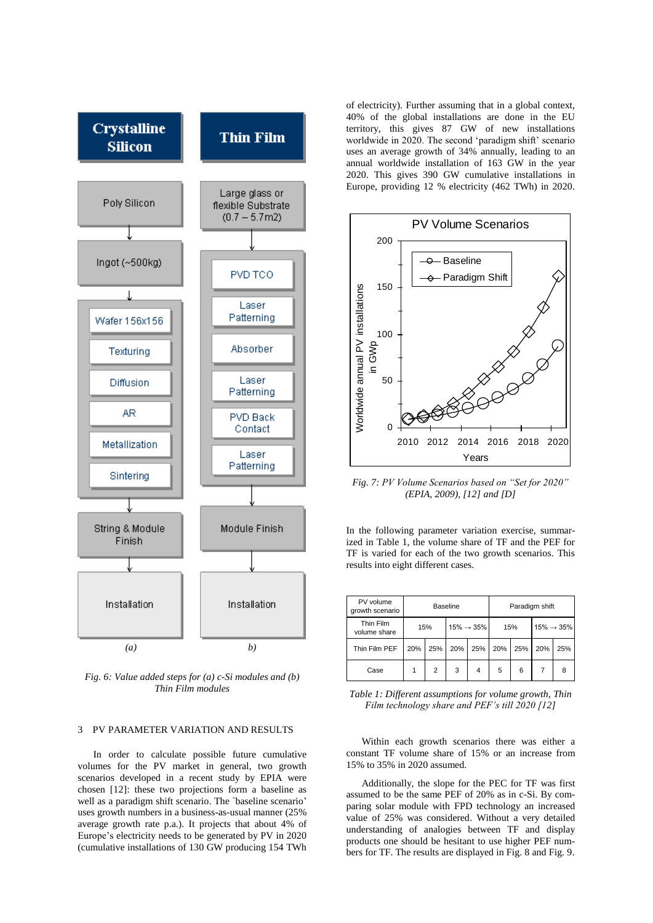

*Fig. 6: Value added steps for (a) c-Si modules and (b) Thin Film modules*

# 3 PV PARAMETER VARIATION AND RESULTS

In order to calculate possible future cumulative volumes for the PV market in general, two growth scenarios developed in a recent study by EPIA were chosen [12]: these two projections form a baseline as well as a paradigm shift scenario. The `baseline scenario' uses growth numbers in a business-as-usual manner (25% average growth rate p.a.). It projects that about 4% of Europe's electricity needs to be generated by PV in 2020 (cumulative installations of 130 GW producing 154 TWh

of electricity). Further assuming that in a global context, 40% of the global installations are done in the EU territory, this gives 87 GW of new installations worldwide in 2020. The second 'paradigm shift' scenario uses an average growth of 34% annually, leading to an annual worldwide installation of 163 GW in the year 2020. This gives 390 GW cumulative installations in Europe, providing 12 % electricity (462 TWh) in 2020.



*Fig. 7: PV Volume Scenarios based on "Set for 2020" (EPIA, 2009), [12] and [D]*

In the following parameter variation exercise, summarized in Table 1, the volume share of TF and the PEF for TF is varied for each of the two growth scenarios. This results into eight different cases.

| PV volume<br>growth scenario | <b>Baseline</b> |     |                         |                | Paradigm shift |     |                         |     |
|------------------------------|-----------------|-----|-------------------------|----------------|----------------|-----|-------------------------|-----|
| Thin Film<br>volume share    | 15%             |     | $15\% \rightarrow 35\%$ |                | 15%            |     | $15\% \rightarrow 35\%$ |     |
| Thin Film PEF                | 20%             | 25% | 20%                     | 25%            | 20%            | 25% | 20%                     | 25% |
| Case                         |                 | 2   | 3                       | $\overline{4}$ | 5              | 6   | 7                       | 8   |

*Table 1: Different assumptions for volume growth, Thin Film technology share and PEF's till 2020 [12]*

Within each growth scenarios there was either a constant TF volume share of 15% or an increase from 15% to 35% in 2020 assumed.

Additionally, the slope for the PEC for TF was first assumed to be the same PEF of 20% as in c-Si. By comparing solar module with FPD technology an increased value of 25% was considered. Without a very detailed understanding of analogies between TF and display products one should be hesitant to use higher PEF numbers for TF. The results are displayed in Fig. 8 and Fig. 9.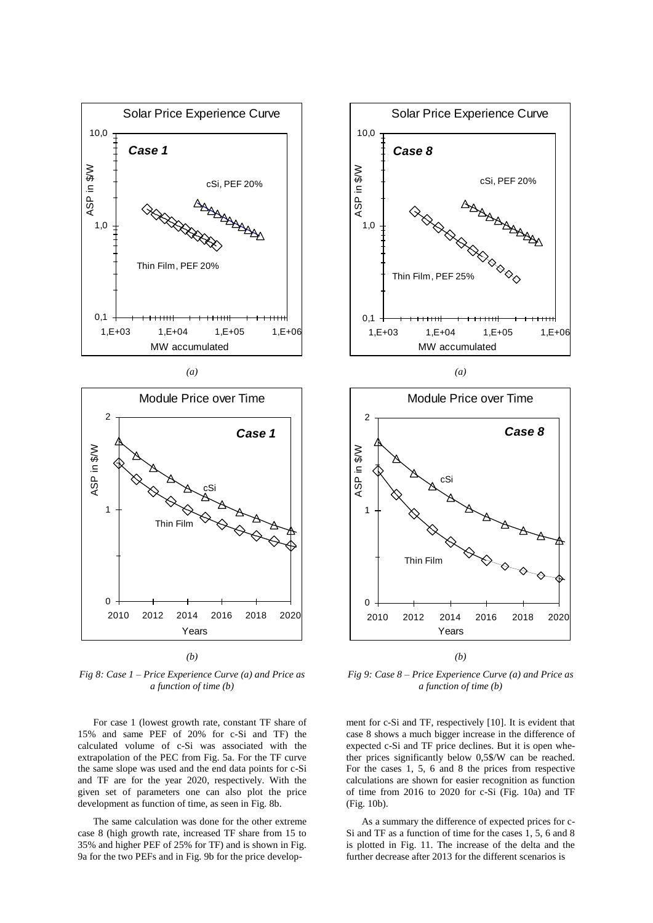

*(a)*



*(b)*

*Fig 8: Case 1 – Price Experience Curve (a) and Price as a function of time (b)*

For case 1 (lowest growth rate, constant TF share of 15% and same PEF of 20% for c-Si and TF) the calculated volume of c-Si was associated with the extrapolation of the PEC from Fig. 5a. For the TF curve the same slope was used and the end data points for c-Si and TF are for the year 2020, respectively. With the given set of parameters one can also plot the price development as function of time, as seen in Fig. 8b.

The same calculation was done for the other extreme case 8 (high growth rate, increased TF share from 15 to 35% and higher PEF of 25% for TF) and is shown in Fig. 9a for the two PEFs and in Fig. 9b for the price develop-



*(a)*



*Fig 9: Case 8 – Price Experience Curve (a) and Price as a function of time (b)*

ment for c-Si and TF, respectively [10]. It is evident that case 8 shows a much bigger increase in the difference of expected c-Si and TF price declines. But it is open whether prices significantly below 0,5\$/W can be reached. For the cases 1, 5, 6 and 8 the prices from respective calculations are shown for easier recognition as function of time from 2016 to 2020 for c-Si (Fig. 10a) and TF (Fig. 10b).

As a summary the difference of expected prices for c-Si and TF as a function of time for the cases 1, 5, 6 and 8 is plotted in Fig. 11. The increase of the delta and the further decrease after 2013 for the different scenarios is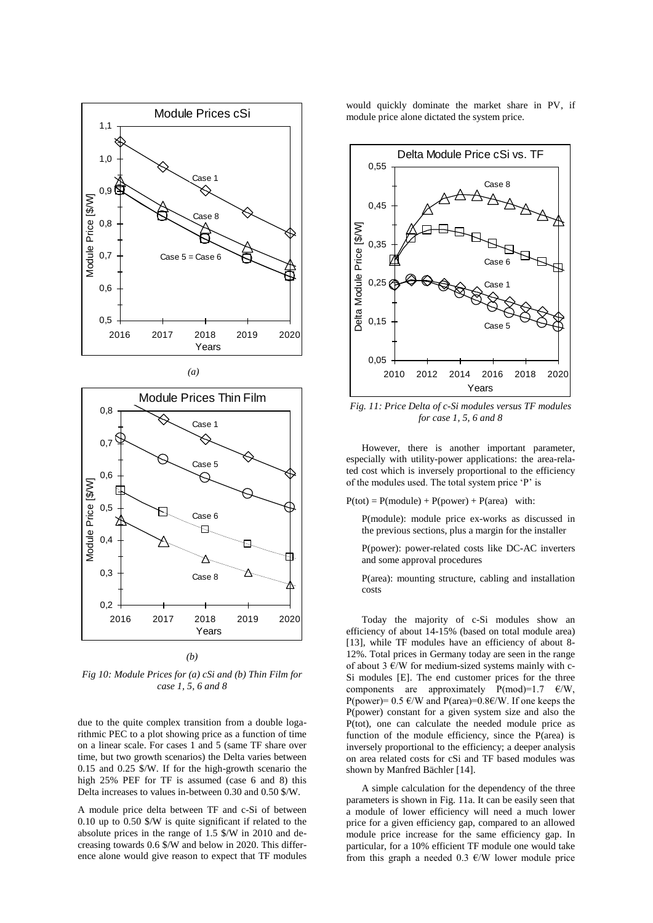





*Fig 10: Module Prices for (a) cSi and (b) Thin Film for case 1, 5, 6 and 8*

due to the quite complex transition from a double logarithmic PEC to a plot showing price as a function of time on a linear scale. For cases 1 and 5 (same TF share over time, but two growth scenarios) the Delta varies between 0.15 and 0.25 \$/W. If for the high-growth scenario the high 25% PEF for TF is assumed (case 6 and 8) this Delta increases to values in-between 0.30 and 0.50 \$/W.

A module price delta between TF and c-Si of between 0.10 up to 0.50 \$/W is quite significant if related to the absolute prices in the range of 1.5 \$/W in 2010 and decreasing towards 0.6 \$/W and below in 2020. This difference alone would give reason to expect that TF modules

would quickly dominate the market share in PV, if module price alone dictated the system price.



*Fig. 11: Price Delta of c-Si modules versus TF modules for case 1, 5, 6 and 8*

However, there is another important parameter, especially with utility-power applications: the area-related cost which is inversely proportional to the efficiency of the modules used. The total system price 'P' is

 $P(tot) = P(modelle) + P(power) + P(area)$  with:

P(module): module price ex-works as discussed in the previous sections, plus a margin for the installer

P(power): power-related costs like DC-AC inverters and some approval procedures

P(area): mounting structure, cabling and installation costs

Today the majority of c-Si modules show an efficiency of about 14-15% (based on total module area) [13], while TF modules have an efficiency of about 8- 12%. Total prices in Germany today are seen in the range of about 3  $\varepsilon$ /W for medium-sized systems mainly with c-Si modules [E]. The end customer prices for the three components are approximately  $P(mod)=1.7$   $\varepsilon/W$ , P(power)=  $0.5 \text{ }\epsilon$ /W and P(area)= $0.8 \epsilon$ /W. If one keeps the P(power) constant for a given system size and also the P(tot), one can calculate the needed module price as function of the module efficiency, since the P(area) is inversely proportional to the efficiency; a deeper analysis on area related costs for cSi and TF based modules was shown by Manfred Bächler [14].

A simple calculation for the dependency of the three parameters is shown in Fig. 11a. It can be easily seen that a module of lower efficiency will need a much lower price for a given efficiency gap, compared to an allowed module price increase for the same efficiency gap. In particular, for a 10% efficient TF module one would take from this graph a needed 0.3  $\epsilon$ /W lower module price